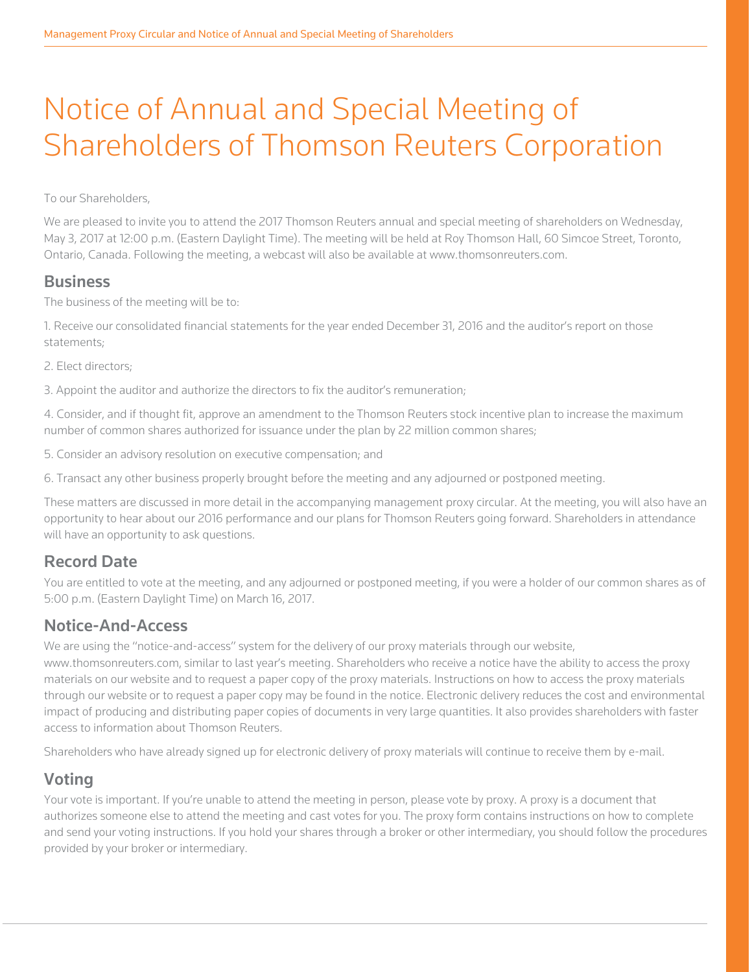# Notice of Annual and Special Meeting of Shareholders of Thomson Reuters Corporation

To our Shareholders,

We are pleased to invite you to attend the 2017 Thomson Reuters annual and special meeting of shareholders on Wednesday, May 3, 2017 at 12:00 p.m. (Eastern Daylight Time). The meeting will be held at Roy Thomson Hall, 60 Simcoe Street, Toronto, Ontario, Canada. Following the meeting, a webcast will also be available at www.thomsonreuters.com.

### **Business**

The business of the meeting will be to:

1. Receive our consolidated financial statements for the year ended December 31, 2016 and the auditor's report on those statements;

2. Elect directors;

3. Appoint the auditor and authorize the directors to fix the auditor's remuneration;

4. Consider, and if thought fit, approve an amendment to the Thomson Reuters stock incentive plan to increase the maximum number of common shares authorized for issuance under the plan by 22 million common shares;

5. Consider an advisory resolution on executive compensation; and

6. Transact any other business properly brought before the meeting and any adjourned or postponed meeting.

These matters are discussed in more detail in the accompanying management proxy circular. At the meeting, you will also have an opportunity to hear about our 2016 performance and our plans for Thomson Reuters going forward. Shareholders in attendance will have an opportunity to ask questions.

## Record Date

You are entitled to vote at the meeting, and any adjourned or postponed meeting, if you were a holder of our common shares as of 5:00 p.m. (Eastern Daylight Time) on March 16, 2017.

## Notice-And-Access

We are using the "notice-and-access" system for the delivery of our proxy materials through our website, www.thomsonreuters.com, similar to last year's meeting. Shareholders who receive a notice have the ability to access the proxy materials on our website and to request a paper copy of the proxy materials. Instructions on how to access the proxy materials through our website or to request a paper copy may be found in the notice. Electronic delivery reduces the cost and environmental impact of producing and distributing paper copies of documents in very large quantities. It also provides shareholders with faster access to information about Thomson Reuters.

Shareholders who have already signed up for electronic delivery of proxy materials will continue to receive them by e-mail.

## Voting

Your vote is important. If you're unable to attend the meeting in person, please vote by proxy. A proxy is a document that authorizes someone else to attend the meeting and cast votes for you. The proxy form contains instructions on how to complete and send your voting instructions. If you hold your shares through a broker or other intermediary, you should follow the procedures provided by your broker or intermediary.